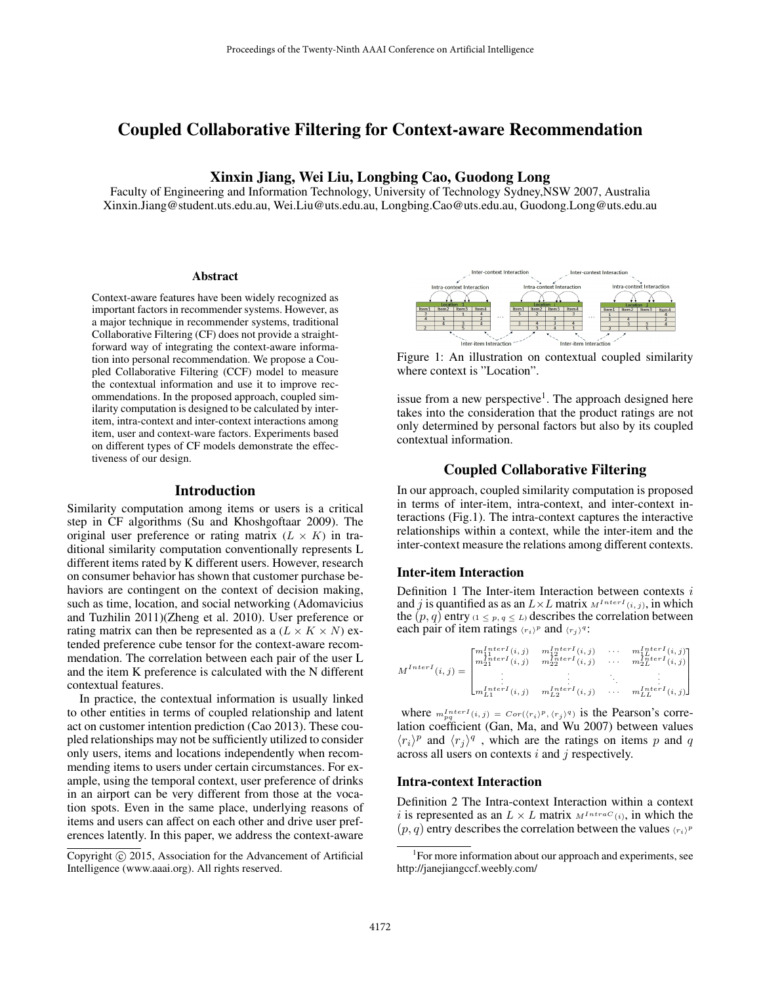# Coupled Collaborative Filtering for Context-aware Recommendation

# Xinxin Jiang, Wei Liu, Longbing Cao, Guodong Long

Faculty of Engineering and Information Technology, University of Technology Sydney,NSW 2007, Australia Xinxin.Jiang@student.uts.edu.au, Wei.Liu@uts.edu.au, Longbing.Cao@uts.edu.au, Guodong.Long@uts.edu.au

#### **Abstract**

Context-aware features have been widely recognized as important factors in recommender systems. However, as a major technique in recommender systems, traditional Collaborative Filtering (CF) does not provide a straightforward way of integrating the context-aware information into personal recommendation. We propose a Coupled Collaborative Filtering (CCF) model to measure the contextual information and use it to improve recommendations. In the proposed approach, coupled similarity computation is designed to be calculated by interitem, intra-context and inter-context interactions among item, user and context-ware factors. Experiments based on different types of CF models demonstrate the effectiveness of our design.

#### Introduction

Similarity computation among items or users is a critical step in CF algorithms (Su and Khoshgoftaar 2009). The original user preference or rating matrix  $(L \times K)$  in traditional similarity computation conventionally represents L different items rated by K different users. However, research on consumer behavior has shown that customer purchase behaviors are contingent on the context of decision making, such as time, location, and social networking (Adomavicius and Tuzhilin 2011)(Zheng et al. 2010). User preference or rating matrix can then be represented as a  $(L \times K \times N)$  extended preference cube tensor for the context-aware recommendation. The correlation between each pair of the user L and the item K preference is calculated with the N different contextual features.

In practice, the contextual information is usually linked to other entities in terms of coupled relationship and latent act on customer intention prediction (Cao 2013). These coupled relationships may not be sufficiently utilized to consider only users, items and locations independently when recommending items to users under certain circumstances. For example, using the temporal context, user preference of drinks in an airport can be very different from those at the vocation spots. Even in the same place, underlying reasons of items and users can affect on each other and drive user preferences latently. In this paper, we address the context-aware



Figure 1: An illustration on contextual coupled similarity where context is "Location".

issue from a new perspective<sup>1</sup>. The approach designed here takes into the consideration that the product ratings are not only determined by personal factors but also by its coupled contextual information.

# Coupled Collaborative Filtering

In our approach, coupled similarity computation is proposed in terms of inter-item, intra-context, and inter-context interactions (Fig.1). The intra-context captures the interactive relationships within a context, while the inter-item and the inter-context measure the relations among different contexts.

## Inter-item Interaction

Definition 1 The Inter-item Interaction between contexts *i* and j is quantified as as an  $L \times L$  matrix  $M^{Inter}(i, j)$ , in which the  $(p, q)$  entry  $(1 \le p, q \le L)$  describes the correlation between each pair of item ratings  $\langle r_i \rangle^p$  and  $\langle r_j \rangle^q$ :

$$
M^{InterI}(i,j) = \begin{bmatrix} m_{11}^{InterI}(i,j) & m_{12}^{InterI}(i,j) & \cdots & m_{1L}^{InterI}(i,j) \\ m_{21}^{InterI}(i,j) & m_{22}^{InterI}(i,j) & \cdots & m_{2L}^{InterI}(i,j) \\ \vdots & \vdots & \ddots & \vdots \\ m_{L1}^{InterI}(i,j) & m_{L2}^{InterI}(i,j) & \cdots & m_{LL}^{InterI}(i,j) \end{bmatrix}
$$

where  $m_{pq}^{InterI}(i,j) = Cor(\langle r_i \rangle^p, \langle r_j \rangle^q)$  is the Pearson's correlation coefficient (Gan, Ma, and Wu 2007) between values  $\langle r_i \rangle^p$  and  $\langle r_j \rangle^q$ , which are the ratings on items p and q across all users on contexts  $i$  and  $j$  respectively.

#### Intra-context Interaction

Definition 2 The Intra-context Interaction within a context i is represented as an  $L \times L$  matrix  $M^{Intro}(i)$ , in which the  $(p, q)$  entry describes the correlation between the values  $\langle r_i \rangle^p$ 

Copyright (c) 2015, Association for the Advancement of Artificial Intelligence (www.aaai.org). All rights reserved.

<sup>&</sup>lt;sup>1</sup>For more information about our approach and experiments, see http://janejiangccf.weebly.com/